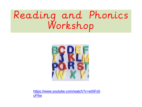## Reading and Phonics Workshop



[https://www.youtube.com/watch?v=ei0iFs5](https://www.youtube.com/watch?v=ei0iFs5uF6w) [uF6w](https://www.youtube.com/watch?v=ei0iFs5uF6w)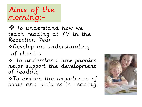Aims of the morning:-

 $\bullet$  To understand how we teach reading at YM in the Reception Year Develop an understanding of phonics To understand how phonics helps support the development

of reading

\* To explore the importance of books and pictures in reading.

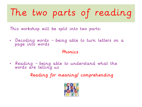## The two parts of reading

This workshop will be split into two parts:

• Decoding words – being able to turn letters on a page into words

#### Phonics

• Reading – being able to understand what the words are telling us

Reading for meaning/ comprehending

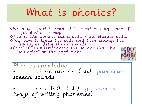## What is phonics?

When you start to read, it is about making sense of 'squiggles' on a page. This is like working out a code – the phonics code. You have to break the code and then change the 'squiggles' (letters) into sounds Phonics is understanding the sounds that the "squiggles" on the page make.



Phonics knowledge There are 44 (ish) phonemes speech sounds

• and 140 (ish) graphemes (ways of writing phonemes)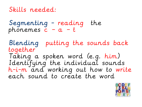#### Skills needed:

Segmenting - reading the phonemes  $c - a - t$ 

Blending putting the sounds back together Taking a spoken word (e.g. him) Identifying the individual sounds h-i-m and working out how to write each sound to create the word

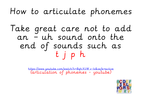### How to articulate phonemes

### Take great care not to add an – uh sound onto the end of sounds such as t j p h

[https://www.youtube.com/watch?v=BqhXUW\\_v-1s&safe=active](https://www.youtube.com/watch?v=BqhXUW_v-1s&safe=active) (articulation of phonemes - youtube)

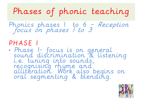Phases of phonic teaching

Phonics phases 1 to 6 – Reception focus on phases 1 to 3

#### PHASE 1

• Phase 1- focus is on general sound discrimination & listening i.e. tuning into sounds, recognising rhyme and alliteration. Work also begins on oral segmenting & blending.

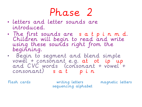- letters and letter sounds are introduced.
- The first sounds are s a t p i n m d. Children will begin to read and write using these sounds right from the beginning.
- Begin to segment and blend simple vowel + consonant e.g. at ot ip up and CVC words (consonant + vowel +  $consonant)$  s  $a$  t  $p$  in

Flash cards writing letters magnetic letters sequencing alphabet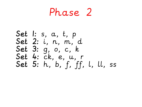Phase 2

Set 1: s, a, t, p Set 2: i, n, m, d Set 3: g, o, c, k Set 4: ck, e, u, r Set 5: h, b, f, ff, l, ll, ss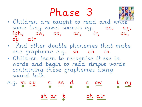Phase 3



- And other double phonemes that make one grapheme e.g. sh ch th
- Children learn to recognise these in words and begin to read simple words containing these graphemes using sound talk.

e.g. 
$$
m \underbrace{ay} \underbrace{n} \underbrace{ee} \underbrace{d} \underbrace{c} \underbrace{ow} \underbrace{t} \underbrace{oy} \underbrace{b}
$$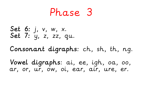Set 6: j, v, w, x. Set 7: y, z, zz, qu. Consonant digraphs: ch, sh, th, ng.

Vowel digraphs: ai, ee, igh, oa, oo, ar, or, ur, ow, oi, ear, air, ure, er.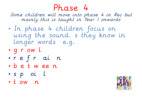Some children will move into phase 4 in Rec but mainly this is taught in Year 1 onwards

- In phase 4 children focus on using the sound. s they know in longer words e.g.
- g r ow l
- r e f r ai n
- b e t w ee n
- s p oi l
- t ow n

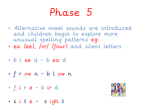- Alternative vowel sounds are introduced and children begin to explore more unusual spelling patterns eg:
- ea (ee), /or/ (four) and silent letters

• b l ee d - b ea d

• f r ow n - b l ow n

• f i r e - b ir d

• s i t e - s igh t

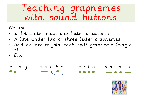### Teaching graphemes with sound buttons

We use

- a dot under each one letter grapheme
- A line under two or three letter graphemes
- And an arc to join each split grapheme (magic e)
- $\cdot$  E.g.

P l a y s h a k e c r i b s p l a s h

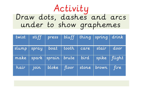### Activity Draw dots, dashes and arcs under to show graphemes

| twist | stiff | press                    |       |      | $bluff \mid thing \mid spring \mid drink$ |                    |
|-------|-------|--------------------------|-------|------|-------------------------------------------|--------------------|
| slump | spray | boat                     | tooth | care | stair                                     | door               |
| make  |       | $spark$   sprain   brute |       | bird | spike                                     | $\parallel$ flight |
| hair  | join  | $block$                  | floor |      | stone $ $ brown                           | fire               |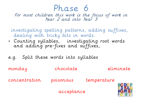For most children this work is the focus of work in Year 2 and into Year 3

 investigating spelling patterns, adding suffixes, dealing with tricky bits in words.

• Counting syllables, investigating root words and adding pre-fixes and suffixes,

e.g. Split these words into syllables monday chocolate eliminate concentration poisonous temperature acceptance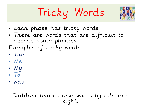# Tricky Words



- Each phase has tricky words
- These are words that are difficult to decode using phonics. Examples of tricky words
- The
- Me
- My
- To
- was

#### Children learn these words by rote and sight.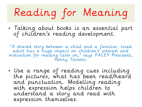# Reading for Meaning

• Talking about books is an essential part of children's reading development.

"A shared story between a child and a familiar, loved adult has a huge impact on children's interest and motivation for reading later on," says PACEY President, Penny lassoni.

• Use a range of reading cues including the pictures, what has been read/heard and punctuation. Modelling reading with expression helps children to understand a story and read with expression themselves.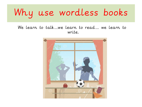## Why use wordless books

#### We learn to talk…we learn to read… we learn to write.

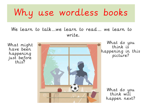## Why use wordless books

We learn to talk…we learn to read… we learn to write.

just before<br>this? What might have been happening this?



What do you think is happening in this picture?

> What do you think will happen next?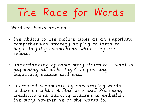# The Race for Words

Wordless books develop :

- the ability to use picture clues as an important comprehension strategy helping children to begin to fully comprehend what they are seeing.
- understanding of basic story structure what is happening at each stage? Sequencing beginning, middle and end.
- Increased vocabulary by encouraging words children might not otherwise use. Promoting creativity and allowing children to embellish the story however he or she wants to.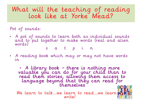#### What will the teaching of reading look like at Yorke Mead?

Pot of sounds:

• A pot of sounds to learn both as individual sounds and to put together to make words (real and alien words)

s a t p i n

• A reading book which may or may not have words in

• A library book – there is nothing more valuable you can do for your child than to read them stories, allowing them access to language beyond that they can read for themselves

We learn to talk...we learn to read...we learn po write!